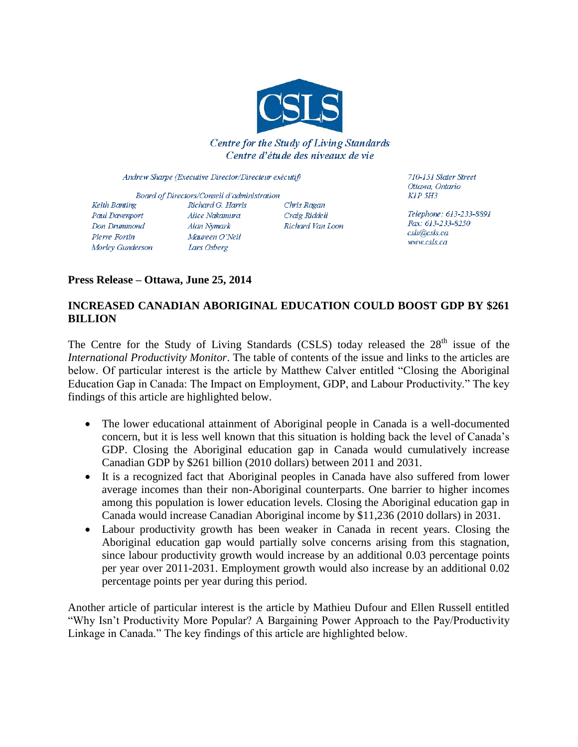

### Centre for the Study of Living Standards Centre d'étude des niveaux de vie

Andrew Sharpe (Executive Director/Directeur exécutif)

Board of Directors/Conseil d'administration Keith Banting Richard G. Harris Chris Ragan Paul Davenport Alice Nakamura Craig Riddell Richard Van Loon Don Drummond Alan Nymark Pierre Fortin Maureen O'Neil Morley Gunderson Lars Osberg

710-151 Slater Street Ottawa, Ontario  $KIP$  5H3

Telephone: 613-233-8891 Fax: 613-233-8250 csls@csls.ca www.csls.ca

## **Press Release – Ottawa, June 25, 2014**

# **INCREASED CANADIAN ABORIGINAL EDUCATION COULD BOOST GDP BY \$261 BILLION**

The Centre for the Study of Living Standards (CSLS) today released the  $28<sup>th</sup>$  issue of the *International Productivity Monitor*. The table of contents of the issue and links to the articles are below. Of particular interest is the article by Matthew Calver entitled "Closing the Aboriginal Education Gap in Canada: The Impact on Employment, GDP, and Labour Productivity." The key findings of this article are highlighted below.

- The lower educational attainment of Aboriginal people in Canada is a well-documented concern, but it is less well known that this situation is holding back the level of Canada's GDP. Closing the Aboriginal education gap in Canada would cumulatively increase Canadian GDP by \$261 billion (2010 dollars) between 2011 and 2031.
- It is a recognized fact that Aboriginal peoples in Canada have also suffered from lower average incomes than their non-Aboriginal counterparts. One barrier to higher incomes among this population is lower education levels. Closing the Aboriginal education gap in Canada would increase Canadian Aboriginal income by \$11,236 (2010 dollars) in 2031.
- Labour productivity growth has been weaker in Canada in recent years. Closing the Aboriginal education gap would partially solve concerns arising from this stagnation, since labour productivity growth would increase by an additional 0.03 percentage points per year over 2011-2031. Employment growth would also increase by an additional 0.02 percentage points per year during this period.

Another article of particular interest is the article by Mathieu Dufour and Ellen Russell entitled "Why Isn't Productivity More Popular? A Bargaining Power Approach to the Pay/Productivity Linkage in Canada." The key findings of this article are highlighted below.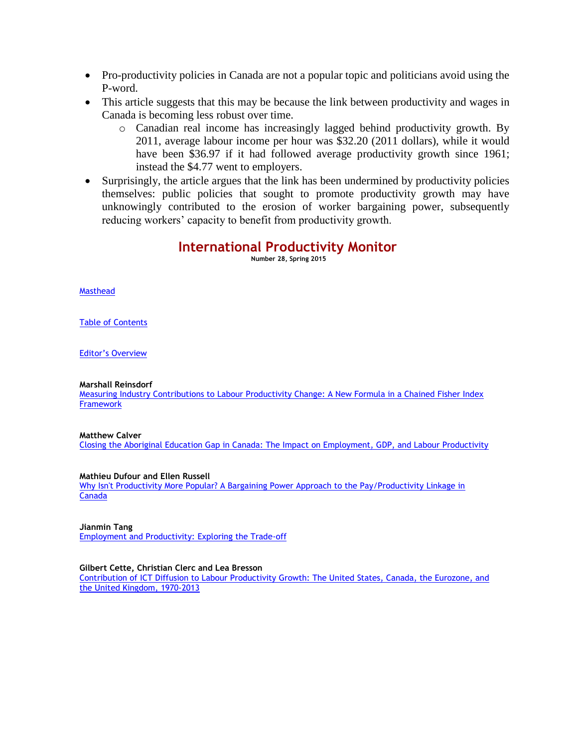- Pro-productivity policies in Canada are not a popular topic and politicians avoid using the P-word.
- This article suggests that this may be because the link between productivity and wages in Canada is becoming less robust over time.
	- o Canadian real income has increasingly lagged behind productivity growth. By 2011, average labour income per hour was \$32.20 (2011 dollars), while it would have been \$36.97 if it had followed average productivity growth since 1961; instead the \$4.77 went to employers.
- Surprisingly, the article argues that the link has been undermined by productivity policies themselves: public policies that sought to promote productivity growth may have unknowingly contributed to the erosion of worker bargaining power, subsequently reducing workers' capacity to benefit from productivity growth.

## **International Productivity Monitor**

**Number 28, Spring 2015**

[Masthead](http://www.csls.ca/ipm/28/masthead.pdf)

[Table of Contents](http://www.csls.ca/ipm/28/toc.pdf)

[Editor's Overview](http://www.csls.ca/ipm/28/editorsoverview.pdf)

**Marshall Reinsdorf**

[Measuring Industry Contributions to Labour Productivity Change: A New Formula in a Chained Fisher Index](http://www.csls.ca/ipm/28/reinsdorf.pdf)  **[Framework](http://www.csls.ca/ipm/28/reinsdorf.pdf)** 

**Matthew Calver**

[Closing the Aboriginal Education Gap in Canada: The Impact on Employment, GDP, and Labour Productivity](http://www.csls.ca/ipm/28/calver.pdf)

**Mathieu Dufour and Ellen Russell**

[Why Isn't Productivity More Popular? A Bargaining Power Approach to the Pay/Productivity Linkage in](http://www.csls.ca/ipm/28/dufouretal.pdf)  [Canada](http://www.csls.ca/ipm/28/dufouretal.pdf)

**Jianmin Tang**

[Employment and Productivity: Exploring the Trade-off](http://www.csls.ca/ipm/28/tang.pdf)

**Gilbert Cette, Christian Clerc and Lea Bresson**

Contribution of [ICT Diffusion to Labour Productivity Growth: The United States, Canada, the Eurozone, and](http://www.csls.ca/ipm/28/cetteetal.pdf)  [the United Kingdom, 1970-2013](http://www.csls.ca/ipm/28/cetteetal.pdf)